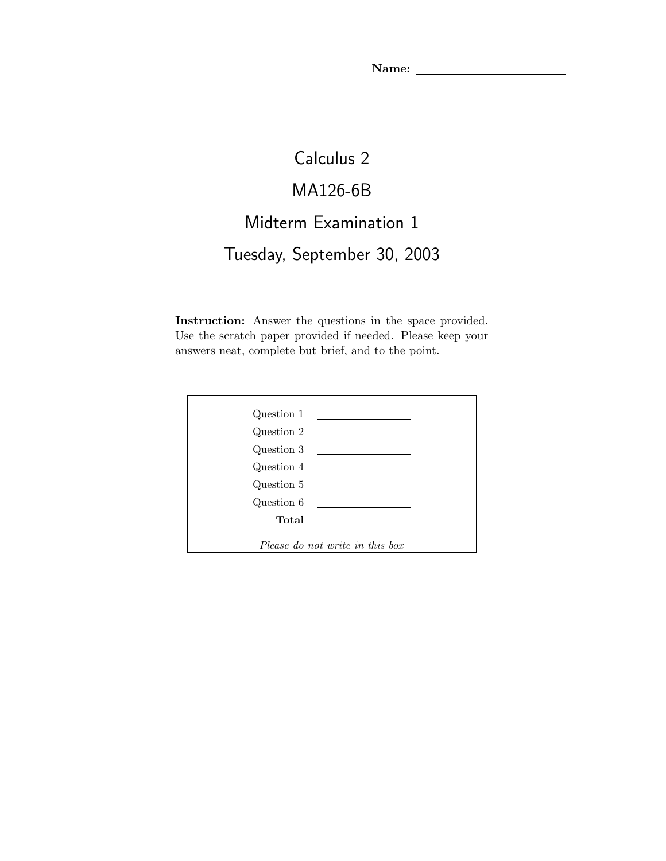## Calculus 2 MA126-6B Midterm Examination 1 Tuesday, September 30, 2003

Instruction: Answer the questions in the space provided. Use the scratch paper provided if needed. Please keep your answers neat, complete but brief, and to the point.

| Question 1                      |                                                                                                                       |
|---------------------------------|-----------------------------------------------------------------------------------------------------------------------|
| Question 2                      |                                                                                                                       |
| Question 3                      |                                                                                                                       |
| Question 4                      |                                                                                                                       |
| Question 5                      | <u> 1989 - Andrea State Barbara, poeta esp</u>                                                                        |
| Question 6                      | <u> 1989 - Jan Sterlinger van die Sterlinge van die Sterlinge van die Sterlinge van die Sterlinge van die Sterlin</u> |
| Total                           |                                                                                                                       |
|                                 |                                                                                                                       |
| Please do not write in this box |                                                                                                                       |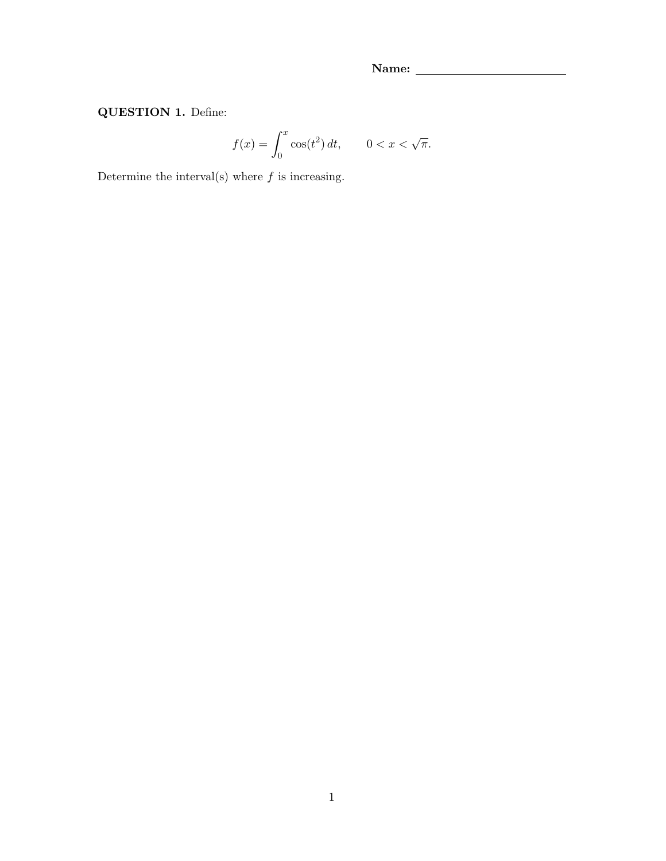QUESTION 1. Define:

$$
f(x) = \int_0^x \cos(t^2) \, dt, \qquad 0 < x < \sqrt{\pi}.
$$

Determine the interval(s) where  $f$  is increasing.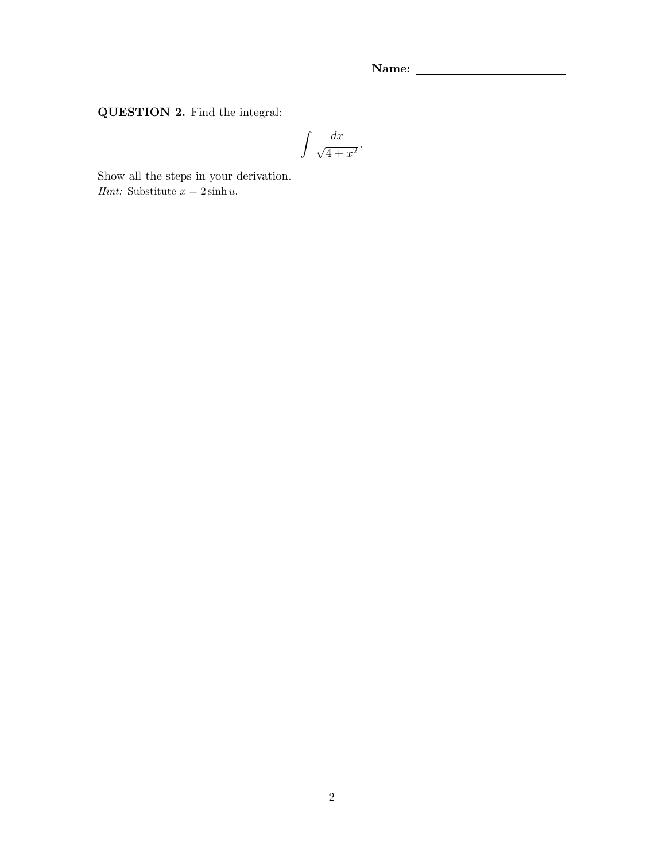QUESTION 2. Find the integral:

$$
\int \frac{dx}{\sqrt{4+x^2}}.
$$

Show all the steps in your derivation. Hint: Substitute  $x = 2 \sinh u$ .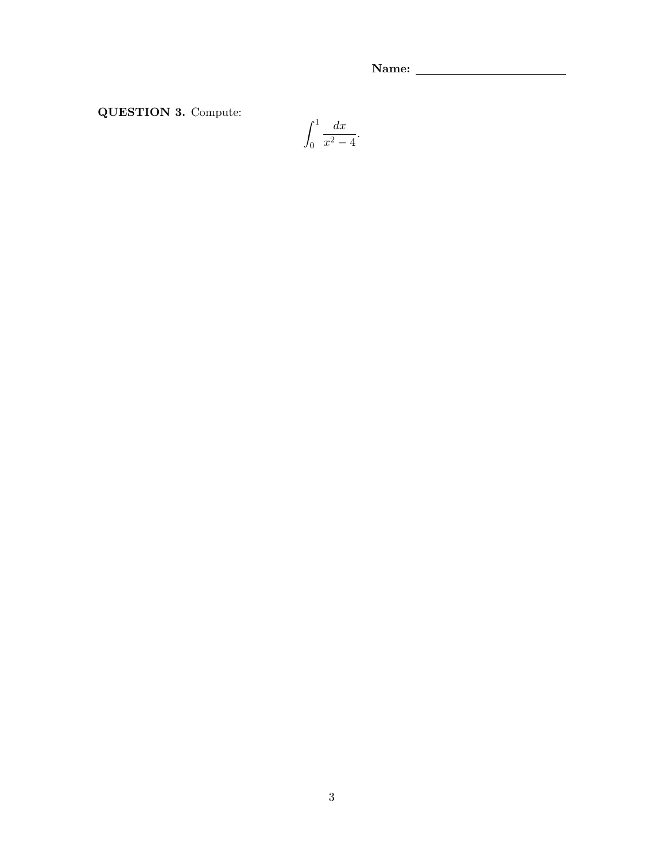QUESTION 3. Compute:

$$
\int_0^1 \frac{dx}{x^2 - 4}.
$$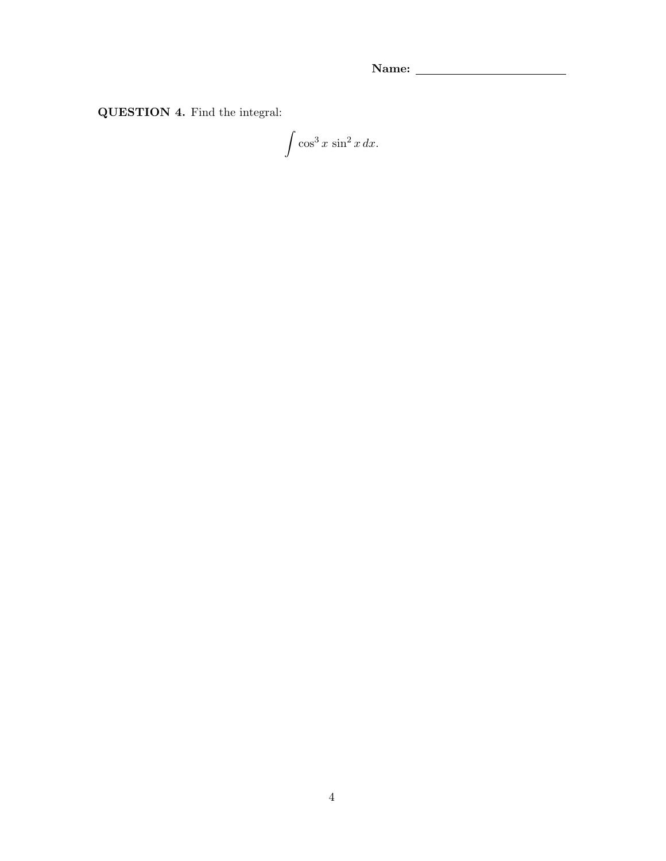QUESTION 4. Find the integral:

 $\int \cos^3 x \, \sin^2 x \, dx.$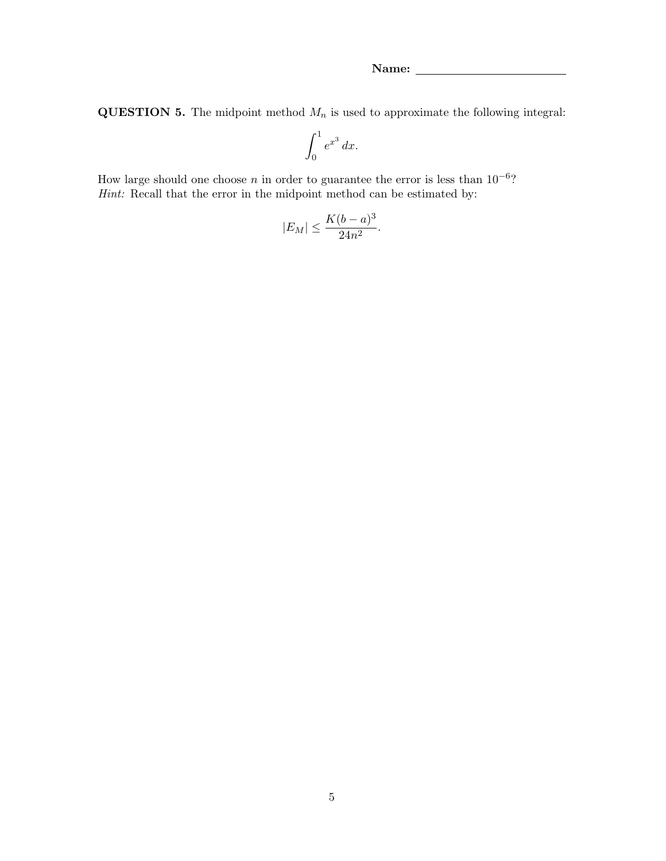**QUESTION 5.** The midpoint method  $M_n$  is used to approximate the following integral:

$$
\int_0^1 e^{x^3} \, dx.
$$

How large should one choose n in order to guarantee the error is less than  $10^{-6}$ ? Hint: Recall that the error in the midpoint method can be estimated by:

$$
|E_M| \le \frac{K(b-a)^3}{24n^2}.
$$